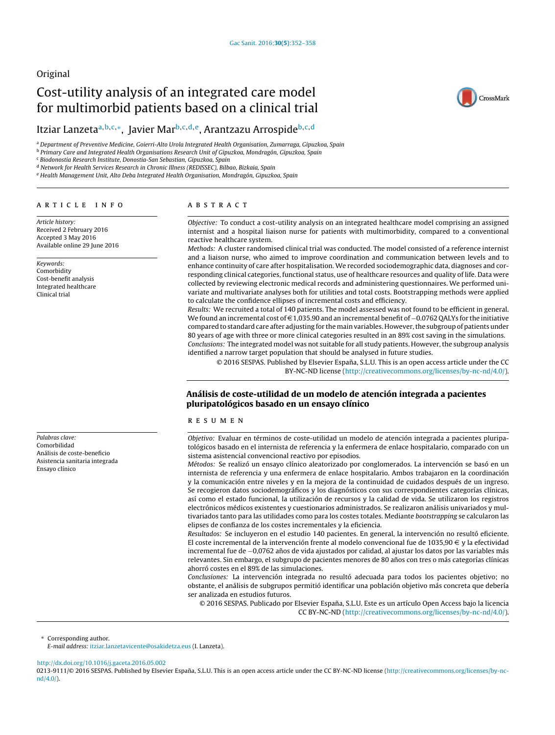## Original

# Cost-utility analysis of an integrated care model for multimorbid patients based on a clinical trial

## Itziar Lanzeta<sup>a,b,c,</sup>\*, Javier Mar<sup>b,c,d,e</sup>, Arantzazu Arrospide<sup>b,c,d</sup>

<sup>a</sup> Department of Preventive Medicine, Goierri-Alto Urola Integrated Health Organisation, Zumarraga, Gipuzkoa, Spain

<sup>b</sup> Primary Care and Integrated Health Organisations Research Unit of Gipuzkoa, Mondragón, Gipuzkoa, Spain

<sup>c</sup> Biodonostia Research Institute, Donostia-San Sebastian, Gipuzkoa, Spain

<sup>d</sup> Network for Health Services Research in Chronic Illness (REDISSEC), Bilbao, Bizkaia, Spain

<sup>e</sup> Health Management Unit, Alto Deba Integrated Health Organisation, Mondragón, Gipuzkoa, Spain

#### a r t i c l e i n f o

Article history: Received 2 February 2016 Accepted 3 May 2016 Available online 29 June 2016

Keywords: Comorbidity Cost-benefit analysis Integrated healthcare Clinical trial

Palabras clave: Comorbilidad Análisis de coste-beneficio Asistencia sanitaria integrada Ensayo clínico

## a b s t r a c t

Objective: To conduct a cost-utility analysis on an integrated healthcare model comprising an assigned internist and a hospital liaison nurse for patients with multimorbidity, compared to a conventional reactive healthcare system.

Methods: A cluster randomised clinical trial was conducted. The model consisted of a reference internist and a liaison nurse, who aimed to improve coordination and communication between levels and to enhance continuity of care after hospitalisation. We recorded sociodemographic data, diagnoses and corresponding clinical categories, functional status, use of healthcare resources and quality of life. Data were collected by reviewing electronic medical records and administering questionnaires. We performed univariate and multivariate analyses both for utilities and total costs. Bootstrapping methods were applied to calculate the confidence ellipses of incremental costs and efficiency.

Results: We recruited a total of 140 patients. The model assessed was not found to be efficient in general. We found an incremental cost of €1,035.90 and an incremental benefit of −0.0762 QALYs for the initiative compared to standard care after adjusting for the main variables. However,the subgroup of patients under 80 years of age with three or more clinical categories resulted in an 89% cost saving in the simulations. Conclusions: The integrated model was not suitable for all study patients. However, the subgroup analysis identified a narrow target population that should be analysed in future studies.

© 2016 SESPAS. Published by Elsevier España, S.L.U. This is an open access article under the CC BY-NC-ND license [\(http://creativecommons.org/licenses/by-nc-nd/4.0/](http://creativecommons.org/licenses/by-nc-nd/4.0/)).

## Análisis de coste-utilidad de un modelo de atención integrada a pacientes pluripatológicos basado en un ensayo clínico

### r e s u m e n

Objetivo: Evaluar en términos de coste-utilidad un modelo de atención integrada a pacientes pluripatológicos basado en el internista de referencia y la enfermera de enlace hospitalario, comparado con un sistema asistencial convencional reactivo por episodios.

Métodos: Se realizó un ensayo clínico aleatorizado por conglomerados. La intervención se basó en un internista de referencia y una enfermera de enlace hospitalario. Ambos trabajaron en la coordinación y la comunicación entre niveles y en la mejora de la continuidad de cuidados después de un ingreso. Se recogieron datos sociodemográficos y los diagnósticos con sus correspondientes categorías clínicas, así como el estado funcional, la utilización de recursos y la calidad de vida. Se utilizaron los registros electrónicos médicos existentes y cuestionarios administrados. Se realizaron análisis univariados y multivariados tanto para las utilidades como para los costes totales. Mediante bootstrapping se calcularon las elipses de confianza de los costes incrementales y la eficiencia.

Resultados: Se incluyeron en el estudio 140 pacientes. En general, la intervención no resultó eficiente. El coste incremental de la intervención frente al modelo convencional fue de 1035,90  $\in$  y la efectividad incremental fue de −0,0762 años de vida ajustados por calidad, al ajustar los datos por las variables más relevantes. Sin embargo, el subgrupo de pacientes menores de 80 años con tres o más categorías clínicas ahorró costes en el 89% de las simulaciones.

Conclusiones: La intervención integrada no resultó adecuada para todos los pacientes objetivo; no obstante, el análisis de subgrupos permitió identificar una población objetivo más concreta que debería ser analizada en estudios futuros.

© 2016 SESPAS. Publicado por Elsevier España, S.L.U. Este es un artículo Open Access bajo la licencia CC BY-NC-ND [\(http://creativecommons.org/licenses/by-nc-nd/4.0/](http://creativecommons.org/licenses/by-nc-nd/4.0/)).

∗ Corresponding author.

E-mail address: [itziar.lanzetavicente@osakidetza.eus](mailto:itziar.lanzetavicente@osakidetza.eus) (I. Lanzeta).

[http://dx.doi.org/10.1016/j.gaceta.2016.05.002](dx.doi.org/10.1016/j.gaceta.2016.05.002)

0213-9111/© 2016 SESPAS. Published by Elsevier España, S.L.U. This is an open access article under the CC BY-NC-ND license [\(http://creativecommons.org/licenses/by-nc](http://creativecommons.org/licenses/by-nc-nd/4.0/)[nd/4.0/\)](http://creativecommons.org/licenses/by-nc-nd/4.0/).

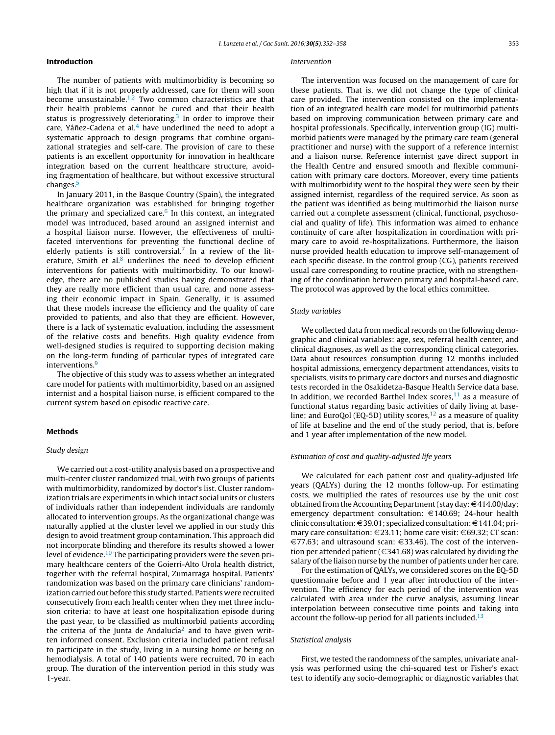## Introduction

The number of patients with multimorbidity is becoming so high that if it is not properly addressed, care for them will soon become unsustainable. $1,2$  Two common characteristics are that their health problems cannot be cured and that their health status is progressively deteriorating.<sup>[3](#page-6-0)</sup> In order to improve their care, Yáñez-Cadena et al. $4$  have underlined the need to adopt a systematic approach to design programs that combine organizational strategies and self-care. The provision of care to these patients is an excellent opportunity for innovation in healthcare integration based on the current healthcare structure, avoiding fragmentation of healthcare, but without excessive structural changes.[5](#page-6-0)

In January 2011, in the Basque Country (Spain), the integrated healthcare organization was established for bringing together the primary and specialized care.<sup>[6](#page-6-0)</sup> In this context, an integrated model was introduced, based around an assigned internist and a hospital liaison nurse. However, the effectiveness of multifaceted interventions for preventing the functional decline of elderly patients is still controversial.<sup>[7](#page-6-0)</sup> In a review of the literature, Smith et al. $8$  underlines the need to develop efficient interventions for patients with multimorbidity. To our knowledge, there are no published studies having demonstrated that they are really more efficient than usual care, and none assessing their economic impact in Spain. Generally, it is assumed that these models increase the efficiency and the quality of care provided to patients, and also that they are efficient. However, there is a lack of systematic evaluation, including the assessment of the relative costs and benefits. High quality evidence from well-designed studies is required to supporting decision making on the long-term funding of particular types of integrated care interventions.[9](#page-6-0)

The objective of this study was to assess whether an integrated care model for patients with multimorbidity, based on an assigned internist and a hospital liaison nurse, is efficient compared to the current system based on episodic reactive care.

## Methods

## Study design

We carried out a cost-utility analysis based on a prospective and multi-center cluster randomized trial, with two groups of patients with multimorbidity, randomized by doctor's list. Cluster randomization trials are experiments in which intact social units or clusters of individuals rather than independent individuals are randomly allocated to intervention groups. As the organizational change was naturally applied at the cluster level we applied in our study this design to avoid treatment group contamination. This approach did not incorporate blinding and therefore its results showed a lower level of evidence.<sup>[10](#page-6-0)</sup> The participating providers were the seven primary healthcare centers of the Goierri-Alto Urola health district, together with the referral hospital, Zumarraga hospital. Patients' randomization was based on the primary care clinicians' randomization carried out before this study started. Patients were recruited consecutively from each health center when they met three inclusion criteria: to have at least one hospitalization episode during the past year, to be classified as multimorbid patients according the criteria of the Junta de Andalucía<sup>[2](#page-6-0)</sup> and to have given written informed consent. Exclusion criteria included patient refusal to participate in the study, living in a nursing home or being on hemodialysis. A total of 140 patients were recruited, 70 in each group. The duration of the intervention period in this study was 1-year.

#### Intervention

The intervention was focused on the management of care for these patients. That is, we did not change the type of clinical care provided. The intervention consisted on the implementation of an integrated health care model for multimorbid patients based on improving communication between primary care and hospital professionals. Specifically, intervention group (IG) multimorbid patients were managed by the primary care team (general practitioner and nurse) with the support of a reference internist and a liaison nurse. Reference internist gave direct support in the Health Centre and ensured smooth and flexible communication with primary care doctors. Moreover, every time patients with multimorbidity went to the hospital they were seen by their assigned internist, regardless of the required service. As soon as the patient was identified as being multimorbid the liaison nurse carried out a complete assessment (clinical, functional, psychosocial and quality of life). This information was aimed to enhance continuity of care after hospitalization in coordination with primary care to avoid re-hospitalizations. Furthermore, the liaison nurse provided health education to improve self-management of each specific disease. In the control group (CG), patients received usual care corresponding to routine practice, with no strengthening of the coordination between primary and hospital-based care. The protocol was approved by the local ethics committee.

#### Study variables

We collected data from medical records on the following demographic and clinical variables: age, sex, referral health center, and clinical diagnoses, as well as the corresponding clinical categories. Data about resources consumption during 12 months included hospital admissions, emergency department attendances, visits to specialists, visits to primary care doctors and nurses and diagnostic tests recorded in the Osakidetza-Basque Health Service data base. In addition, we recorded Barthel Index scores, $11$  as a measure of functional status regarding basic activities of daily living at baseline; and EuroQol (EQ-5D) utility scores,  $12$  as a measure of quality of life at baseline and the end of the study period, that is, before and 1 year after implementation of the new model.

## Estimation of cost and quality-adjusted life years

We calculated for each patient cost and quality-adjusted life years (QALYs) during the 12 months follow-up. For estimating costs, we multiplied the rates of resources use by the unit cost obtained from the Accounting Department (stay day:  $\in$ 414.00/day; emergency department consultation:  $\in$ 140.69; 24-hour health clinic consultation:  $\in$ 39.01; specialized consultation:  $\in$ 141.04; primary care consultation:  $\in$  23.11; home care visit:  $\in$  69.32; CT scan:  $\epsilon$ 77.63; and ultrasound scan:  $\epsilon$ 33.46). The cost of the intervention per attended patient ( $\in$ 341.68) was calculated by dividing the salary of the liaison nurse by the number of patients under her care.

For the estimation of QALYs, we considered scores on the EQ-5D questionnaire before and 1 year after introduction of the intervention. The efficiency for each period of the intervention was calculated with area under the curve analysis, assuming linear interpolation between consecutive time points and taking into account the follow-up period for all patients included.<sup>[13](#page-6-0)</sup>

## Statistical analysis

First, we tested the randomness of the samples, univariate analysis was performed using the chi-squared test or Fisher's exact test to identify any socio-demographic or diagnostic variables that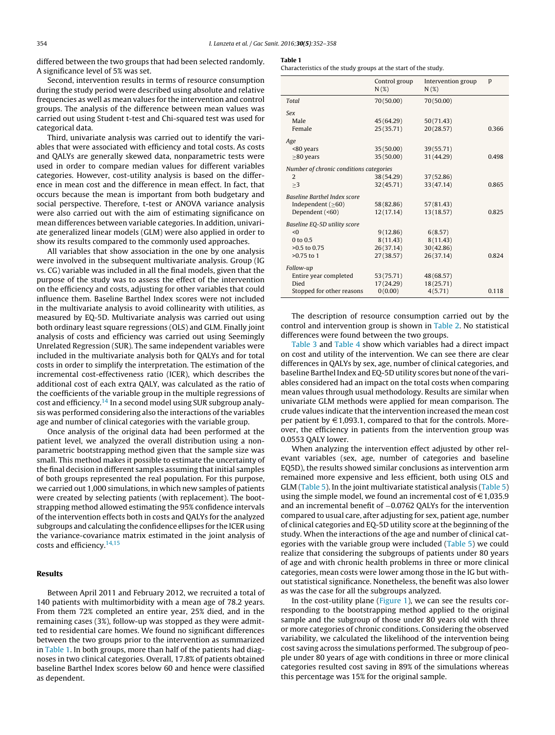differed between the two groups that had been selected randomly. A significance level of 5% was set.

Second, intervention results in terms of resource consumption during the study period were described using absolute and relative frequencies as well as mean values for the intervention and control groups. The analysis of the difference between mean values was carried out using Student t-test and Chi-squared test was used for categorical data.

Third, univariate analysis was carried out to identify the variables that were associated with efficiency and total costs. As costs and QALYs are generally skewed data, nonparametric tests were used in order to compare median values for different variables categories. However, cost-utility analysis is based on the difference in mean cost and the difference in mean effect. In fact, that occurs because the mean is important from both budgetary and social perspective. Therefore, t-test or ANOVA variance analysis were also carried out with the aim of estimating significance on mean differences between variable categories. In addition, univariate generalized linear models (GLM) were also applied in order to show its results compared to the commonly used approaches.

All variables that show association in the one by one analysis were involved in the subsequent multivariate analysis. Group (IG vs. CG) variable was included in all the final models, given that the purpose of the study was to assess the effect of the intervention on the efficiency and costs, adjusting for other variables that could influence them. Baseline Barthel Index scores were not included in the multivariate analysis to avoid collinearity with utilities, as measured by EQ-5D. Multivariate analysis was carried out using both ordinary least square regressions (OLS) and GLM. Finally joint analysis of costs and efficiency was carried out using Seemingly Unrelated Regression (SUR). The same independent variables were included in the multivariate analysis both for QALYs and for total costs in order to simplify the interpretation. The estimation of the incremental cost-effectiveness ratio (ICER), which describes the additional cost of each extra QALY, was calculated as the ratio of the coefficients of the variable group in the multiple regressions of cost and efficiency.<sup>[14](#page-6-0)</sup> In a second model using SUR subgroup analysis was performed considering also the interactions of the variables age and number of clinical categories with the variable group.

Once analysis of the original data had been performed at the patient level, we analyzed the overall distribution using a nonparametric bootstrapping method given that the sample size was small. This method makes it possible to estimate the uncertainty of the final decision in different samples assuming that initial samples of both groups represented the real population. For this purpose, we carried out 1,000 simulations, in which new samples of patients were created by selecting patients (with replacement). The bootstrapping method allowed estimating the 95% confidence intervals of the intervention effects both in costs and QALYs for the analyzed subgroups and calculating the confidence ellipses for the ICER using the variance-covariance matrix estimated in the joint analysis of costs and efficiency.[14,15](#page-6-0)

## Results

Between April 2011 and February 2012, we recruited a total of 140 patients with multimorbidity with a mean age of 78.2 years. From them 72% completed an entire year, 25% died, and in the remaining cases (3%), follow-up was stopped as they were admitted to residential care homes. We found no significant differences between the two groups prior to the intervention as summarized in Table 1. In both groups, more than half of the patients had diagnoses in two clinical categories. Overall, 17.8% of patients obtained baseline Barthel Index scores below 60 and hence were classified as dependent.

### Table 1

Characteristics of the study groups at the start of the study.

|                                         | Control group<br>$N(\%)$ | Intervention group<br>N(%) | p     |
|-----------------------------------------|--------------------------|----------------------------|-------|
| Total                                   | 70(50.00)                | 70(50.00)                  |       |
| Sex                                     |                          |                            |       |
| Male                                    | 45 (64.29)               | 50(71.43)                  |       |
| Female                                  | 25(35.71)                | 20(28.57)                  | 0.366 |
| Age                                     |                          |                            |       |
| <80 years                               | 35(50.00)                | 39(55.71)                  |       |
| $>80$ years                             | 35(50.00)                | 31 (44.29)                 | 0.498 |
| Number of chronic conditions categories |                          |                            |       |
| 2                                       | 38(54.29)                | 37(52.86)                  |       |
| >3                                      | 32(45.71)                | 33(47.14)                  | 0.865 |
| Baseline Barthel Index score            |                          |                            |       |
| Independent $(≥60)$                     | 58(82.86)                | 57(81.43)                  |       |
| Dependent (<60)                         | 12(17.14)                | 13(18.57)                  | 0.825 |
| Baseline EQ-5D utility score            |                          |                            |       |
| $\leq 0$                                | 9(12.86)                 | 6(8.57)                    |       |
| 0 to 0.5                                | 8(11.43)                 | 8(11.43)                   |       |
| >0.5 to 0.75                            | 26(37.14)                | 30(42.86)                  |       |
| $>0.75$ to 1                            | 27(38.57)                | 26(37.14)                  | 0.824 |
| Follow-up                               |                          |                            |       |
| Entire year completed                   | 53 (75.71)               | 48(68.57)                  |       |
| <b>Died</b>                             | 17(24.29)                | 18(25.71)                  |       |
| Stopped for other reasons               | 0(0.00)                  | 4(5.71)                    | 0.118 |

The description of resource consumption carried out by the control and intervention group is shown in [Table](#page-3-0) 2. No statistical differences were found between the two groups.

[Table](#page-3-0) 3 and [Table](#page-4-0) 4 show which variables had a direct impact on cost and utility of the intervention. We can see there are clear differences in QALYs by sex, age, number of clinical categories, and baseline Barthel Index and EQ-5D utility scores but none of the variables considered had an impact on the total costs when comparing mean values through usual methodology. Results are similar when univariate GLM methods were applied for mean comparison. The crude values indicate that the intervention increased the mean cost per patient by  $\in$  1,093.1, compared to that for the controls. Moreover, the efficiency in patients from the intervention group was 0.0553 QALY lower.

When analyzing the intervention effect adjusted by other relevant variables (sex, age, number of categories and baseline EQ5D), the results showed similar conclusions as intervention arm remained more expensive and less efficient, both using OLS and GLM ([Table](#page-4-0) 5). In the joint multivariate statistical analysis ([Table](#page-4-0) 5) using the simple model, we found an incremental cost of  $\in$  1,035.9 and an incremental benefit of -0.0762 QALYs for the intervention compared to usual care, after adjusting for sex, patient age, number of clinical categories and EQ-5D utility score at the beginning of the study. When the interactions of the age and number of clinical categories with the variable group were included ([Table](#page-4-0) 5) we could realize that considering the subgroups of patients under 80 years of age and with chronic health problems in three or more clinical categories, mean costs were lower among those in the IG but without statistical significance. Nonetheless, the benefit was also lower as was the case for all the subgroups analyzed.

In the cost-utility plane [\(Figure](#page-3-0) 1), we can see the results corresponding to the bootstrapping method applied to the original sample and the subgroup of those under 80 years old with three or more categories of chronic conditions. Considering the observed variability, we calculated the likelihood of the intervention being cost saving across the simulations performed. The subgroup of people under 80 years of age with conditions in three or more clinical categories resulted cost saving in 89% of the simulations whereas this percentage was 15% for the original sample.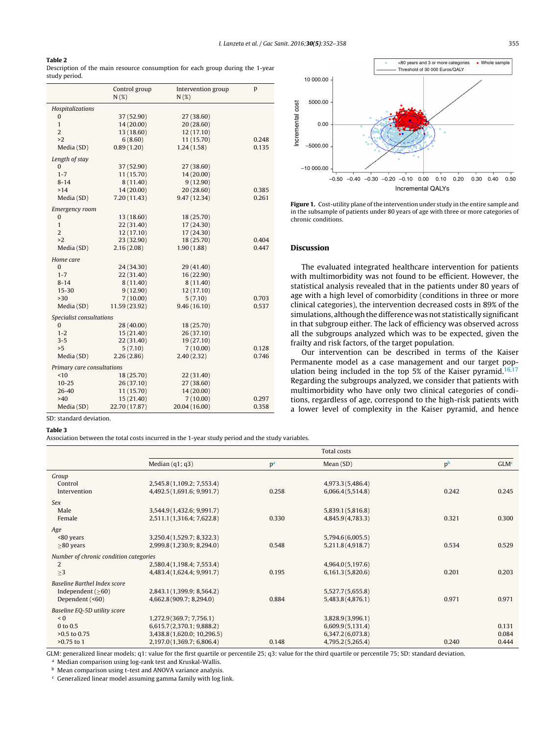## <span id="page-3-0"></span>Table 2

Description of the main resource consumption for each group during the 1-year study period.

|                            | Control group<br>$N(\%)$ | Intervention group<br>$N(\%)$ | p     |  |  |
|----------------------------|--------------------------|-------------------------------|-------|--|--|
| Hospitalizations           |                          |                               |       |  |  |
| 0                          | 37 (52.90)               | 27 (38.60)                    |       |  |  |
| $\mathbf{1}$               | 14 (20.00)               | 20 (28.60)                    |       |  |  |
| $\overline{2}$             | 13 (18.60)               | 12(17.10)                     |       |  |  |
| >2                         | 6(8.60)                  | 11 (15.70)                    | 0.248 |  |  |
| Media (SD)                 | 0.89(1.20)               | 1.24(1.58)                    | 0.135 |  |  |
| Length of stay             |                          |                               |       |  |  |
| $\Omega$                   | 37 (52.90)               | 27 (38.60)                    |       |  |  |
| $1 - 7$                    | 11(15.70)                | 14 (20.00)                    |       |  |  |
| $8 - 14$                   | 8(11.40)                 | 9(12.90)                      |       |  |  |
| >14                        | 14(20.00)                | 20 (28.60)                    | 0.385 |  |  |
| Media (SD)                 | 7.20(11.43)              | 9.47(12.34)                   | 0.261 |  |  |
| Emergency room             |                          |                               |       |  |  |
| $\mathbf{0}$               | 13 (18.60)               | 18 (25.70)                    |       |  |  |
| $\mathbf{1}$               | 22 (31.40)               | 17(24.30)                     |       |  |  |
| $\overline{2}$             | 12(17.10)                | 17(24.30)                     |       |  |  |
| >2                         | 23 (32.90)               | 18 (25.70)                    | 0.404 |  |  |
| Media (SD)                 | 2.16(2.08)               | 1.90(1.88)                    | 0.447 |  |  |
| Home care                  |                          |                               |       |  |  |
| 0                          | 24 (34.30)               | 29 (41.40)                    |       |  |  |
| $1 - 7$                    | 22 (31.40)               | 16(22.90)                     |       |  |  |
| $8 - 14$                   | 8(11.40)                 | 8(11.40)                      |       |  |  |
| $15 - 30$                  | 9(12.90)                 | 12(17.10)                     |       |  |  |
| >30                        | 7(10.00)                 | 5(7.10)                       | 0.703 |  |  |
| Media (SD)                 | 11.59 (23.92)            | 9.46(16.10)                   | 0.537 |  |  |
| Specialist consultations   |                          |                               |       |  |  |
| $\Omega$                   | 28 (40.00)               | 18 (25.70)                    |       |  |  |
| $1 - 2$                    | 15(21.40)                | 26 (37.10)                    |       |  |  |
| $3 - 5$                    | 22 (31.40)               | 19(27.10)                     |       |  |  |
| >5                         | 5(7.10)                  | 7(10.00)                      | 0.128 |  |  |
| Media (SD)                 | 2.26(2.86)               | 2.40(2.32)                    | 0.746 |  |  |
| Primary care consultations |                          |                               |       |  |  |
| < 10                       | 18 (25.70)               | 22 (31.40)                    |       |  |  |
| $10 - 25$                  | 26(37.10)                | 27 (38.60)                    |       |  |  |
| 26-40                      | 11 (15.70)               | 14 (20.00)                    |       |  |  |
| >40                        | 15(21.40)                | 7(10.00)                      | 0.297 |  |  |
| Media (SD)                 | 22.70 (17.87)            | 20.04 (16.00)                 | 0.358 |  |  |



Figure 1. Cost-utility plane of the intervention under study in the entire sample and in the subsample of patients under 80 years of age with three or more categories of chronic conditions.

## Discussion

The evaluated integrated healthcare intervention for patients with multimorbidity was not found to be efficient. However, the statistical analysis revealed that in the patients under 80 years of age with a high level of comorbidity (conditions in three or more clinical categories), the intervention decreased costs in 89% of the simulations, although the difference was not statistically significant in that subgroup either. The lack of efficiency was observed across all the subgroups analyzed which was to be expected, given the frailty and risk factors, of the target population.

Our intervention can be described in terms of the Kaiser Permanente model as a case management and our target pop-ulation being included in the top 5% of the Kaiser pyramid.<sup>[16,17](#page-6-0)</sup> Regarding the subgroups analyzed, we consider that patients with multimorbidity who have only two clinical categories of conditions, regardless of age, correspond to the high-risk patients with a lower level of complexity in the Kaiser pyramid, and hence

SD: standard deviation.

## Table 3

Association between the total costs incurred in the 1-year study period and the study variables.

|                                        |                             |                | <b>Total costs</b> |                |                  |
|----------------------------------------|-----------------------------|----------------|--------------------|----------------|------------------|
|                                        | Median $(q1; q3)$           | p <sup>a</sup> | Mean(SD)           | p <sup>b</sup> | GLM <sup>c</sup> |
| Group                                  |                             |                |                    |                |                  |
| Control                                | 2,545.8 (1,109.2; 7,553.4)  |                | 4,973.3 (5,486.4)  |                |                  |
| Intervention                           | 4,492.5 (1,691.6; 9,991.7)  | 0.258          | 6,066.4(5,514.8)   | 0.242          | 0.245            |
| Sex                                    |                             |                |                    |                |                  |
| Male                                   | 3,544.9(1,432.6; 9,991.7)   |                | 5,839.1 (5,816.8)  |                |                  |
| Female                                 | 2,511.1(1,316.4; 7,622.8)   | 0.330          | 4,845.9(4,783.3)   | 0.321          | 0.300            |
| Age                                    |                             |                |                    |                |                  |
| <80 years                              | 3,250.4(1,529.7; 8,322.3)   |                | 5,794.6(6,005.5)   |                |                  |
| $>80$ years                            | 2,999.8 (1,230.9; 8,294.0)  | 0.548          | 5,211.8(4,918.7)   | 0.534          | 0.529            |
| Number of chronic condition categories |                             |                |                    |                |                  |
| 2                                      | 2,580.4(1,198.4; 7,553.4)   |                | 4,964.0(5,197.6)   |                |                  |
| >3                                     | 4,483.4(1,624.4; 9,991.7)   | 0.195          | 6,161.3(5,820.6)   | 0.201          | 0.203            |
| Baseline Barthel Index score           |                             |                |                    |                |                  |
| Independent ( $\geq 60$ )              | 2,843.1 (1,399.9; 8,564.2)  |                | 5,527.7(5,655.8)   |                |                  |
| Dependent $(60)$                       | 4,662.8 (909.7; 8,294.0)    | 0.884          | 5,483.8 (4,876.1)  | 0.971          | 0.971            |
| Baseline EQ-5D utility score           |                             |                |                    |                |                  |
| $\leq 0$                               | 1,272.9(369.7; 7,756.1)     |                | 3,828.9(3,996.1)   |                |                  |
| 0 <sub>to</sub> 0.5                    | 6,615.7(2,370.1; 9,888.2)   |                | 6,609.9(5,131.4)   |                | 0.131            |
| $>0.5$ to 0.75                         | 3,438.8 (1,620.0; 10,296.5) |                | 6,347.2(6,073.8)   |                | 0.084            |
| $>0.75$ to 1                           | 2,197.0(1,369.7; 6,806.4)   | 0.148          | 4,795.2(5,265.4)   | 0.240          | 0.444            |

GLM: generalized linear models; q1: value for the first quartile or percentile 25; q3: value for the third quartile or percentile 75; SD: standard deviation.

<sup>a</sup> Median comparison using log-rank test and Kruskal-Wallis.

<sup>b</sup> Mean comparison using t-test and ANOVA variance analysis.

 $c$  Generalized linear model assuming gamma family with log link.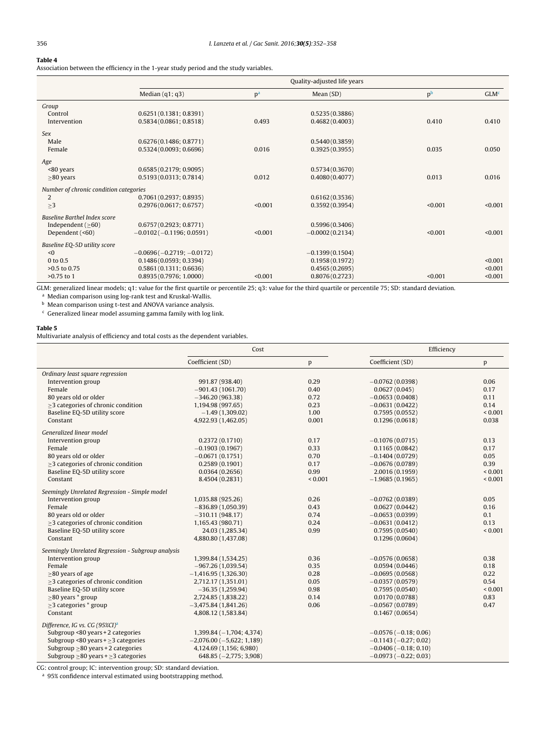## <span id="page-4-0"></span>Table 4

Association between the efficiency in the 1-year study period and the study variables.

|                                        | Quality-adjusted life years |                |                   |                |                  |
|----------------------------------------|-----------------------------|----------------|-------------------|----------------|------------------|
|                                        | Median $(q1; q3)$           | p <sup>a</sup> | Mean(SD)          | p <sub>b</sub> | GLM <sup>c</sup> |
| Group                                  |                             |                |                   |                |                  |
| Control                                | 0.6251(0.1381; 0.8391)      |                | 0.5235(0.3886)    |                |                  |
| Intervention                           | 0.5834(0.0861; 0.8518)      | 0.493          | 0.4682(0.4003)    | 0.410          | 0.410            |
| Sex                                    |                             |                |                   |                |                  |
| Male                                   | 0.6276(0.1486; 0.8771)      |                | 0.5440(0.3859)    |                |                  |
| Female                                 | 0.5324(0.0093; 0.6696)      | 0.016          | 0.3925(0.3955)    | 0.035          | 0.050            |
| Age                                    |                             |                |                   |                |                  |
| <80 years                              | 0.6585(0.2179; 0.9095)      |                | 0.5734(0.3670)    |                |                  |
| $\geq$ 80 years                        | 0.5193(0.0313; 0.7814)      | 0.012          | 0.4080(0.4077)    | 0.013          | 0.016            |
| Number of chronic condition categories |                             |                |                   |                |                  |
| 2                                      | 0.7061(0.2937; 0.8935)      |                | 0.6162(0.3536)    |                |                  |
| >3                                     | 0.2976(0.0617; 0.6757)      | < 0.001        | 0.3592(0.3954)    | < 0.001        | < 0.001          |
| Baseline Barthel Index score           |                             |                |                   |                |                  |
| Independent $(≥60)$                    | 0.6757(0.2923; 0.8771)      |                | 0.5996(0.3406)    |                |                  |
| Dependent (<60)                        | $-0.0102(-0.1196; 0.0591)$  | < 0.001        | $-0.0002(0.2134)$ | < 0.001        | < 0.001          |
| Baseline EQ-5D utility score           |                             |                |                   |                |                  |
| $\leq 0$                               | $-0.0696(-0.2719;-0.0172)$  |                | $-0.1399(0.1504)$ |                |                  |
| 0 to 0.5                               | 0.1486(0.0593; 0.3394)      |                | 0.1958(0.1972)    |                | < 0.001          |
| $>0.5$ to 0.75                         | 0.5861(0.1311; 0.6636)      |                | 0.4565(0.2695)    |                | < 0.001          |
| $>0.75$ to 1                           | 0.8935(0.7976; 1.0000)      | < 0.001        | 0.8076(0.2723)    | < 0.001        | < 0.001          |

GLM: generalized linear models; q1: value for the first quartile or percentile 25; q3: value for the third quartile or percentile 75; SD: standard deviation.

<sup>a</sup> Median comparison using log-rank test and Kruskal-Wallis.

<sup>b</sup> Mean comparison using t-test and ANOVA variance analysis.

<sup>c</sup> Generalized linear model assuming gamma family with log link.

## Table 5

Multivariate analysis of efficiency and total costs as the dependent variables.

|                                                    | Cost                       |              | Efficiency                  |               |
|----------------------------------------------------|----------------------------|--------------|-----------------------------|---------------|
|                                                    | Coefficient (SD)           | p            | Coefficient (SD)            | p             |
| Ordinary least square regression                   |                            |              |                             |               |
| Intervention group                                 | 991.87 (938.40)            | 0.29         | $-0.0762(0.0398)$           | 0.06          |
| Female                                             | $-901.43(1061.70)$         | 0.40         | 0.0627(0.045)               | 0.17          |
| 80 years old or older                              | $-346.20(963.38)$          | 0.72         | $-0.0653(0.0408)$           | 0.11          |
| $\geq$ 3 categories of chronic condition           | 1,194.98 (997.65)          | 0.23         | $-0.0631(0.0422)$           | 0.14          |
| Baseline EQ-5D utility score                       | $-1.49(1,309.02)$          | 1.00         | 0.7595(0.0552)              | ${}_{<0.001}$ |
| Constant                                           | 4,922.93 (1,462.05)        | 0.001        | 0.1296(0.0618)              | 0.038         |
| Generalized linear model                           |                            |              |                             |               |
| Intervention group                                 | 0.2372(0.1710)             | 0.17         | $-0.1076(0.0715)$           | 0.13          |
| Female                                             | $-0.1903(0.1967)$          | 0.33         | 0.1165(0.0842)              | 0.17          |
| 80 years old or older                              | $-0.0671(0.1751)$          | 0.70         | $-0.1404(0.0729)$           | 0.05          |
| $\geq$ 3 categories of chronic condition           | 0.2589(0.1901)             | 0.17         | $-0.0676(0.0789)$           | 0.39          |
| Baseline EQ-5D utility score                       | 0.0364(0.2656)             | 0.99         | 2.0016 (0.1959)             | < 0.001       |
| Constant                                           | 8.4504 (0.2831)            | ${}_{0.001}$ | $-1.9685(0.1965)$           | ${}_{0.001}$  |
| Seemingly Unrelated Regression - Simple model      |                            |              |                             |               |
| Intervention group                                 | 1,035.88 (925.26)          | 0.26         | $-0.0762(0.0389)$           | 0.05          |
| Female                                             | $-836.89(1,050.39)$        | 0.43         | 0.0627(0.0442)              | 0.16          |
| 80 years old or older                              | $-310.11(948.17)$          | 0.74         | $-0.0653(0.0399)$           | 0.1           |
| $\geq$ 3 categories of chronic condition           | 1,165.43 (980.71)          | 0.24         | $-0.0631(0.0412)$           | 0.13          |
| Baseline EQ-5D utility score                       | 24.03 (1,285.34)           | 0.99         | 0.7595(0.0540)              | ${}_{0.001}$  |
| Constant                                           | 4,880.80 (1,437.08)        |              | 0.1296(0.0604)              |               |
| Seemingly Unrelated Regression - Subgroup analysis |                            |              |                             |               |
| Intervention group                                 | 1,399.84 (1,534.25)        | 0.36         | $-0.0576(0.0658)$           | 0.38          |
| Female                                             | $-967.26(1,039.54)$        | 0.35         | 0.0594(0.0446)              | 0.18          |
| >80 years of age                                   | $-1,416.95(1,326.30)$      | 0.28         | $-0.0695(0.0568)$           | 0.22          |
| $\geq$ 3 categories of chronic condition           | 2,712.17 (1,351.01)        | 0.05         | $-0.0357(0.0579)$           | 0.54          |
| Baseline EQ-5D utility score                       | $-36.35(1,259.94)$         | 0.98         | 0.7595(0.0540)              | ${}_{0.001}$  |
| >80 years * group                                  | 2,724.85 (1,838.22)        | 0.14         | 0.0170(0.0788)              | 0.83          |
| $\geq$ 3 categories * group                        | $-3,475.84(1,841.26)$      | 0.06         | $-0.0567(0.0789)$           | 0.47          |
| Constant                                           | 4,808.12 (1,583.84)        |              | 0.1467(0.0654)              |               |
| Difference, IG vs. CG (95%CI) <sup>a</sup>         |                            |              |                             |               |
| Subgroup <80 years +2 categories                   | $1,399.84(-1,704; 4,374)$  |              | $-0.0576(-0.18; 0.06)$      |               |
| Subgroup <80 years + $\geq$ 3 categories           | $-2,076.00(-5,622; 1,189)$ |              | $-0.1143$ ( $-0.27$ ; 0.02) |               |
| Subgroup $>80$ years + 2 categories                | 4,124,69 (1,156; 6,980)    |              | $-0.0406(-0.18; 0.10)$      |               |
| Subgroup $>80$ years $+ > 3$ categories            | $648.85 (-2,775; 3,908)$   |              | $-0.0973(-0.22; 0.03)$      |               |

CG: control group; IC: intervention group; SD: standard deviation.

<sup>a</sup> 95% confidence interval estimated using bootstrapping method.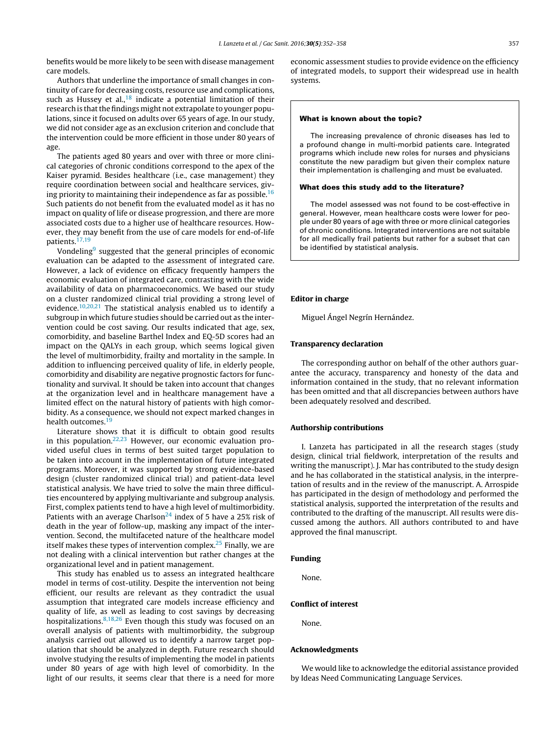benefits would be more likely to be seen with disease management care models.

Authors that underline the importance of small changes in continuity of care for decreasing costs, resource use and complications, such as Hussey et al.,<sup>[18](#page-6-0)</sup> indicate a potential limitation of their research is that the findings might not extrapolate to younger populations, since it focused on adults over 65 years of age. In our study, we did not consider age as an exclusion criterion and conclude that the intervention could be more efficient in those under 80 years of age.

The patients aged 80 years and over with three or more clinical categories of chronic conditions correspond to the apex of the Kaiser pyramid. Besides healthcare (i.e., case management) they require coordination between social and healthcare services, giv-ing priority to maintaining their independence as far as possible.<sup>[16](#page-6-0)</sup> Such patients do not benefit from the evaluated model as it has no impact on quality of life or disease progression, and there are more associated costs due to a higher use of healthcare resources. However, they may benefit from the use of care models for end-of-life patients.[17,19](#page-6-0)

Vondeling<sup>[9](#page-6-0)</sup> suggested that the general principles of economic evaluation can be adapted to the assessment of integrated care. However, a lack of evidence on efficacy frequently hampers the economic evaluation of integrated care, contrasting with the wide availability of data on pharmacoeconomics. We based our study on a cluster randomized clinical trial providing a strong level of evidence.[10,20,21](#page-6-0) The statistical analysis enabled us to identify a subgroup in which future studies should be carried out as the intervention could be cost saving. Our results indicated that age, sex, comorbidity, and baseline Barthel Index and EQ-5D scores had an impact on the QALYs in each group, which seems logical given the level of multimorbidity, frailty and mortality in the sample. In addition to influencing perceived quality of life, in elderly people, comorbidity and disability are negative prognostic factors for functionality and survival. It should be taken into account that changes at the organization level and in healthcare management have a limited effect on the natural history of patients with high comorbidity. As a consequence, we should not expect marked changes in health outcomes.<sup>[19](#page-6-0)</sup>

Literature shows that it is difficult to obtain good results in this population.[22,23](#page-6-0) However, our economic evaluation provided useful clues in terms of best suited target population to be taken into account in the implementation of future integrated programs. Moreover, it was supported by strong evidence-based design (cluster randomized clinical trial) and patient-data level statistical analysis. We have tried to solve the main three difficulties encountered by applying multivariante and subgroup analysis. First, complex patients tend to have a high level of multimorbidity. Patients with an average Charlson<sup>[24](#page-6-0)</sup> index of 5 have a 25% risk of death in the year of follow-up, masking any impact of the intervention. Second, the multifaceted nature of the healthcare model itself makes these types of intervention complex. $25$  Finally, we are not dealing with a clinical intervention but rather changes at the organizational level and in patient management.

This study has enabled us to assess an integrated healthcare model in terms of cost-utility. Despite the intervention not being efficient, our results are relevant as they contradict the usual assumption that integrated care models increase efficiency and quality of life, as well as leading to cost savings by decreasing hospitalizations. $8,18,26$  Even though this study was focused on an overall analysis of patients with multimorbidity, the subgroup analysis carried out allowed us to identify a narrow target population that should be analyzed in depth. Future research should involve studying the results of implementing the model in patients under 80 years of age with high level of comorbidity. In the light of our results, it seems clear that there is a need for more economic assessment studies to provide evidence on the efficiency of integrated models, to support their widespread use in health systems.

## What is known about the topic?

The increasing prevalence of chronic diseases has led to a profound change in multi-morbid patients care. Integrated programs which include new roles for nurses and physicians constitute the new paradigm but given their complex nature their implementation is challenging and must be evaluated.

## What does this study add to the literature?

The model assessed was not found to be cost-effective in general. However, mean healthcare costs were lower for people under 80 years of age with three or more clinical categories of chronic conditions. Integrated interventions are not suitable for all medically frail patients but rather for a subset that can be identified by statistical analysis.

## Editor in charge

Miguel Ángel Negrín Hernández.

## Transparency declaration

The corresponding author on behalf of the other authors guarantee the accuracy, transparency and honesty of the data and information contained in the study, that no relevant information has been omitted and that all discrepancies between authors have been adequately resolved and described.

## Authorship contributions

I. Lanzeta has participated in all the research stages (study design, clinical trial fieldwork, interpretation of the results and writing the manuscript). J. Mar has contributed to the study design and he has collaborated in the statistical analysis, in the interpretation of results and in the review of the manuscript. A. Arrospide has participated in the design of methodology and performed the statistical analysis, supported the interpretation of the results and contributed to the drafting of the manuscript. All results were discussed among the authors. All authors contributed to and have approved the final manuscript.

## Funding

None.

## Conflict of interest

None.

## Acknowledgments

We would like to acknowledge the editorial assistance provided by Ideas Need Communicating Language Services.